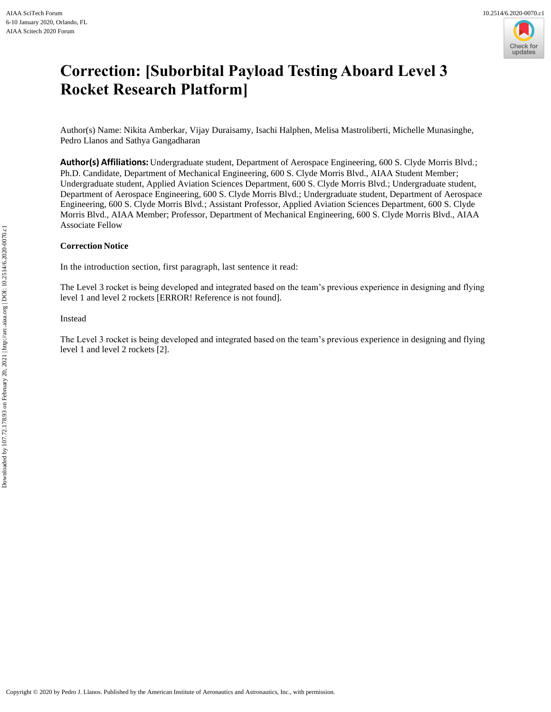

updates

# **Correction: [Suborbital Payload Testing Aboard Level 3 Rocket Research Platform]**

Author(s) Name: Nikita Amberkar, Vijay Duraisamy, Isachi Halphen, Melisa Mastroliberti, Michelle Munasinghe, Pedro Llanos and Sathya Gangadharan

**Author(s) Affiliations:** Undergraduate student, Department of Aerospace Engineering, 600 S. Clyde Morris Blvd.; Ph.D. Candidate, Department of Mechanical Engineering, 600 S. Clyde Morris Blvd., AIAA Student Member; Undergraduate student, Applied Aviation Sciences Department, 600 S. Clyde Morris Blvd.; Undergraduate student, Department of Aerospace Engineering, 600 S. Clyde Morris Blvd.; Undergraduate student, Department of Aerospace Engineering, 600 S. Clyde Morris Blvd.; Assistant Professor, Applied Aviation Sciences Department, 600 S. Clyde Morris Blvd., AIAA Member; Professor, Department of Mechanical Engineering, 600 S. Clyde Morris Blvd., AIAA Associate Fellow

## **Correction Notice**

In the introduction section, first paragraph, last sentence it read:

The Level 3 rocket is being developed and integrated based on the team's previous experience in designing and flying level 1 and level 2 rockets [ERROR! Reference is not found].

### Instead

The Level 3 rocket is being developed and integrated based on the team's previous experience in designing and flying level 1 and level 2 rockets [2].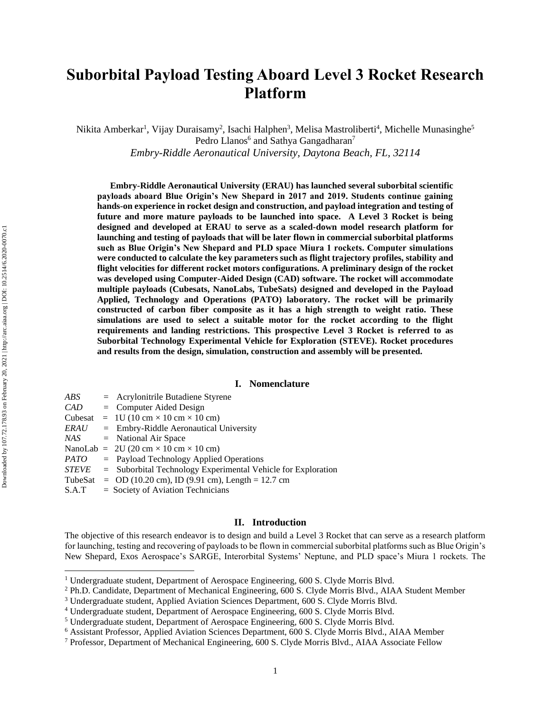# **Suborbital Payload Testing Aboard Level 3 Rocket Research Platform**

Nikita Amberkar<sup>1</sup>, Vijay Duraisamy<sup>2</sup>, Isachi Halphen<sup>3</sup>, Melisa Mastroliberti<sup>4</sup>, Michelle Munasinghe<sup>5</sup> Pedro Llanos<sup>6</sup> and Sathya Gangadharan<sup>7</sup>

*Embry-Riddle Aeronautical University, Daytona Beach, FL, 32114*

**Embry-Riddle Aeronautical University (ERAU) has launched several suborbital scientific payloads aboard Blue Origin's New Shepard in 2017 and 2019. Students continue gaining hands-on experience in rocket design and construction, and payload integration and testing of future and more mature payloads to be launched into space. A Level 3 Rocket is being designed and developed at ERAU to serve as a scaled-down model research platform for launching and testing of payloads that will be later flown in commercial suborbital platforms such as Blue Origin's New Shepard and PLD space Miura 1 rockets. Computer simulations were conducted to calculate the key parameters such as flight trajectory profiles, stability and flight velocities for different rocket motors configurations. A preliminary design of the rocket was developed using Computer-Aided Design (CAD) software. The rocket will accommodate multiple payloads (Cubesats, NanoLabs, TubeSats) designed and developed in the Payload Applied, Technology and Operations (PATO) laboratory. The rocket will be primarily constructed of carbon fiber composite as it has a high strength to weight ratio. These simulations are used to select a suitable motor for the rocket according to the flight requirements and landing restrictions. This prospective Level 3 Rocket is referred to as Suborbital Technology Experimental Vehicle for Exploration (STEVE). Rocket procedures and results from the design, simulation, construction and assembly will be presented.**

#### **I. Nomenclature**

*ABS* = Acrylonitrile Butadiene Styrene *CAD* = Computer Aided Design Cubesat =  $1U(10 \text{ cm} \times 10 \text{ cm} \times 10 \text{ cm})$ *ERAU* = Embry-Riddle Aeronautical University *NAS* = National Air Space NanoLab =  $2U (20 cm \times 10 cm \times 10 cm)$ *PATO* = Payload Technology Applied Operations *STEVE* = Suborbital Technology Experimental Vehicle for Exploration TubeSat = OD (10.20 cm), ID (9.91 cm), Length =  $12.7$  cm S.A.T = Society of Aviation Technicians

#### **II. Introduction**

The objective of this research endeavor is to design and build a Level 3 Rocket that can serve as a research platform for launching, testing and recovering of payloads to be flown in commercial suborbital platforms such as Blue Origin's New Shepard, Exos Aerospace's SARGE, Interorbital Systems' Neptune, and PLD space's Miura 1 rockets. The

<sup>&</sup>lt;sup>1</sup> Undergraduate student, Department of Aerospace Engineering, 600 S. Clyde Morris Blvd.

<sup>2</sup> Ph.D. Candidate, Department of Mechanical Engineering, 600 S. Clyde Morris Blvd., AIAA Student Member

<sup>&</sup>lt;sup>3</sup> Undergraduate student, Applied Aviation Sciences Department, 600 S. Clyde Morris Blvd.

<sup>4</sup> Undergraduate student, Department of Aerospace Engineering, 600 S. Clyde Morris Blvd.

<sup>&</sup>lt;sup>5</sup> Undergraduate student, Department of Aerospace Engineering, 600 S. Clyde Morris Blvd.

<sup>6</sup> Assistant Professor, Applied Aviation Sciences Department, 600 S. Clyde Morris Blvd., AIAA Member

<sup>7</sup> Professor, Department of Mechanical Engineering, 600 S. Clyde Morris Blvd., AIAA Associate Fellow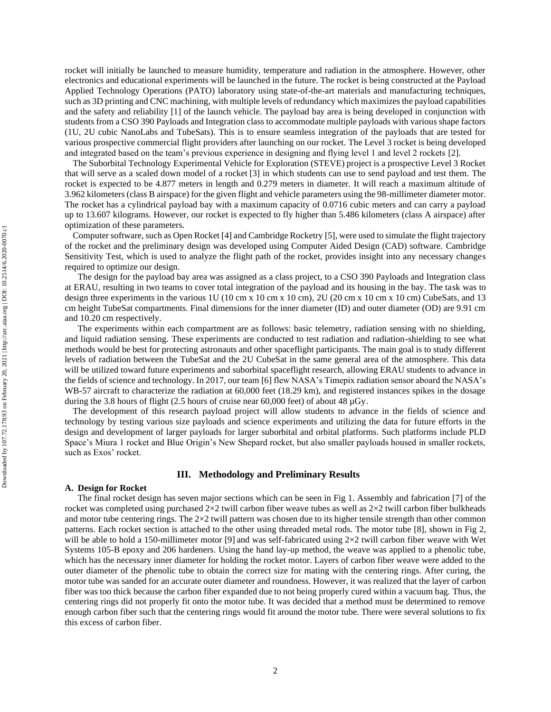rocket will initially be launched to measure humidity, temperature and radiation in the atmosphere. However, other electronics and educational experiments will be launched in the future. The rocket is being constructed at the Payload Applied Technology Operations (PATO) laboratory using state-of-the-art materials and manufacturing techniques, such as 3D printing and CNC machining, with multiple levels of redundancy which maximizes the payload capabilities and the safety and reliability [\[1\]](#page-18-0) of the launch vehicle. The payload bay area is being developed in conjunction with students from a CSO 390 Payloads and Integration class to accommodate multiple payloads with various shape factors (1U, 2U cubic NanoLabs and TubeSats). This is to ensure seamless integration of the payloads that are tested for various prospective commercial flight providers after launching on our rocket. The Level 3 rocket is being developed and integrated based on the team's previous experience in designing and flying level 1 and level 2 rockets [\[2\].](#page-18-1)

The Suborbital Technology Experimental Vehicle for Exploration (STEVE) project is a prospective Level 3 Rocket that will serve as a scaled down model of a rocket [\[3\]](#page-18-2) in which students can use to send payload and test them. The rocket is expected to be 4.877 meters in length and 0.279 meters in diameter. It will reach a maximum altitude of 3.962 kilometers (class B airspace) for the given flight and vehicle parameters using the 98-millimeter diameter motor. The rocket has a cylindrical payload bay with a maximum capacity of 0.0716 cubic meters and can carry a payload up to 13.607 kilograms. However, our rocket is expected to fly higher than 5.486 kilometers (class A airspace) after optimization of these parameters.

Computer software, such as Open Rocket [\[4\]](#page-18-3) and Cambridge Rocketry [\[5\],](#page-18-4) were used to simulate the flight trajectory of the rocket and the preliminary design was developed using Computer Aided Design (CAD) software. Cambridge Sensitivity Test, which is used to analyze the flight path of the rocket, provides insight into any necessary changes required to optimize our design.

The design for the payload bay area was assigned as a class project, to a CSO 390 Payloads and Integration class at ERAU, resulting in two teams to cover total integration of the payload and its housing in the bay. The task was to design three experiments in the various 1U (10 cm x 10 cm x 10 cm), 2U (20 cm x 10 cm x 10 cm) CubeSats, and 13 cm height TubeSat compartments. Final dimensions for the inner diameter (ID) and outer diameter (OD) are 9.91 cm and 10.20 cm respectively.

The experiments within each compartment are as follows: basic telemetry, radiation sensing with no shielding, and liquid radiation sensing. These experiments are conducted to test radiation and radiation-shielding to see what methods would be best for protecting astronauts and other spaceflight participants. The main goal is to study different levels of radiation between the TubeSat and the 2U CubeSat in the same general area of the atmosphere. This data will be utilized toward future experiments and suborbital spaceflight research, allowing ERAU students to advance in the fields of science and technology. In 2017, our team [\[6\]](#page-18-5) flew NASA's Timepix radiation sensor aboard the NASA's WB-57 aircraft to characterize the radiation at 60,000 feet (18.29 km), and registered instances spikes in the dosage during the 3.8 hours of flight (2.5 hours of cruise near 60,000 feet) of about 48  $\mu$ Gy.

The development of this research payload project will allow students to advance in the fields of science and technology by testing various size payloads and science experiments and utilizing the data for future efforts in the design and development of larger payloads for larger suborbital and orbital platforms. Such platforms include PLD Space's Miura 1 rocket and Blue Origin's New Shepard rocket, but also smaller payloads housed in smaller rockets, such as Exos' rocket.

#### **III. Methodology and Preliminary Results**

#### **A. Design for Rocket**

The final rocket design has seven major sections which can be seen in [Fig 1.](#page-3-0) Assembly and fabrication [\[7\]](#page-18-6) of the rocket was completed using purchased  $2\times2$  twill carbon fiber weave tubes as well as  $2\times2$  twill carbon fiber bulkheads and motor tube centering rings. The  $2\times2$  twill pattern was chosen due to its higher tensile strength than other common patterns. Each rocket section is attached to the other using threaded metal rods. The motor tube [\[8\],](#page-18-7) shown in [Fig 2,](#page-3-1) will be able to hold a 150-millimeter motor [\[9\]](#page-18-8) and was self-fabricated using  $2\times2$  twill carbon fiber weave with Wet Systems 105-B epoxy and 206 hardeners. Using the hand lay-up method, the weave was applied to a phenolic tube, which has the necessary inner diameter for holding the rocket motor. Layers of carbon fiber weave were added to the outer diameter of the phenolic tube to obtain the correct size for mating with the centering rings. After curing, the motor tube was sanded for an accurate outer diameter and roundness. However, it was realized that the layer of carbon fiber was too thick because the carbon fiber expanded due to not being properly cured within a vacuum bag. Thus, the centering rings did not properly fit onto the motor tube. It was decided that a method must be determined to remove enough carbon fiber such that the centering rings would fit around the motor tube. There were several solutions to fix this excess of carbon fiber.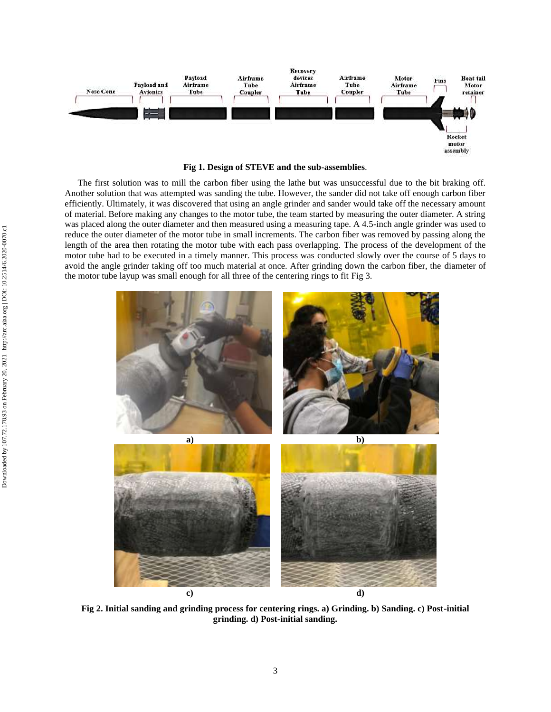

**Fig 1. Design of STEVE and the sub-assemblies**.

<span id="page-3-0"></span>The first solution was to mill the carbon fiber using the lathe but was unsuccessful due to the bit braking off. Another solution that was attempted was sanding the tube. However, the sander did not take off enough carbon fiber efficiently. Ultimately, it was discovered that using an angle grinder and sander would take off the necessary amount of material. Before making any changes to the motor tube, the team started by measuring the outer diameter. A string was placed along the outer diameter and then measured using a measuring tape. A 4.5-inch angle grinder was used to reduce the outer diameter of the motor tube in small increments. The carbon fiber was removed by passing along the length of the area then rotating the motor tube with each pass overlapping. The process of the development of the motor tube had to be executed in a timely manner. This process was conducted slowly over the course of 5 days to avoid the angle grinder taking off too much material at once. After grinding down the carbon fiber, the diameter of the motor tube layup was small enough for all three of the centering rings to fit [Fig 3.](#page-4-0)



<span id="page-3-1"></span>**Fig 2. Initial sanding and grinding process for centering rings. a) Grinding. b) Sanding. c) Post-initial grinding. d) Post-initial sanding.**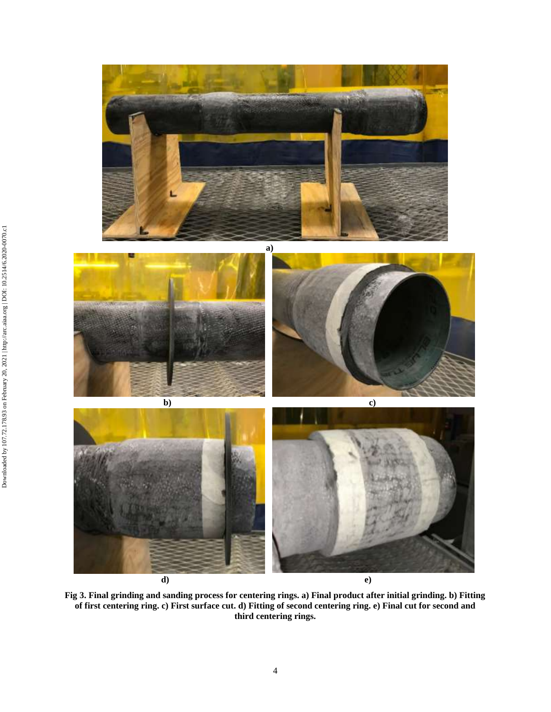<span id="page-4-0"></span>

**Fig 3. Final grinding and sanding process for centering rings. a) Final product after initial grinding. b) Fitting of first centering ring. c) First surface cut. d) Fitting of second centering ring. e) Final cut for second and third centering rings.**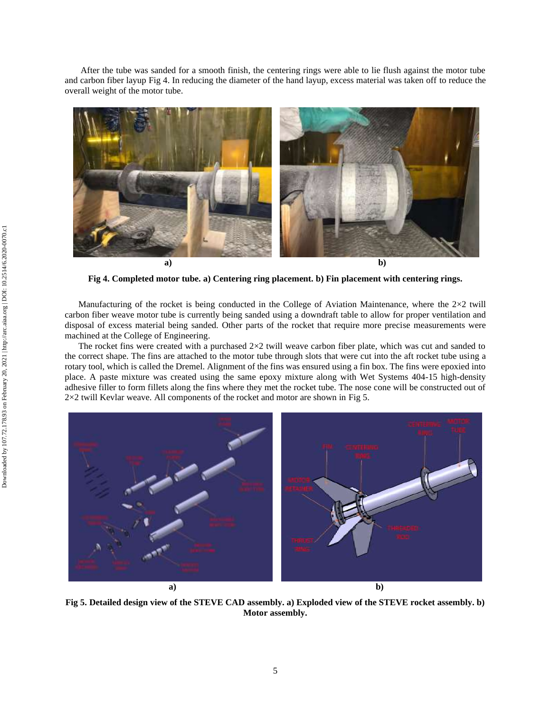After the tube was sanded for a smooth finish, the centering rings were able to lie flush against the motor tube and carbon fiber layup [Fig 4.](#page-5-0) In reducing the diameter of the hand layup, excess material was taken off to reduce the overall weight of the motor tube.



**Fig 4. Completed motor tube. a) Centering ring placement. b) Fin placement with centering rings.**

<span id="page-5-0"></span>Manufacturing of the rocket is being conducted in the College of Aviation Maintenance, where the 2×2 twill carbon fiber weave motor tube is currently being sanded using a downdraft table to allow for proper ventilation and disposal of excess material being sanded. Other parts of the rocket that require more precise measurements were machined at the College of Engineering.

The rocket fins were created with a purchased  $2\times2$  twill weave carbon fiber plate, which was cut and sanded to the correct shape. The fins are attached to the motor tube through slots that were cut into the aft rocket tube using a rotary tool, which is called the Dremel. Alignment of the fins was ensured using a fin box. The fins were epoxied into place. A paste mixture was created using the same epoxy mixture along with Wet Systems 404-15 high-density adhesive filler to form fillets along the fins where they met the rocket tube. The nose cone will be constructed out of 2×2 twill Kevlar weave. All components of the rocket and motor are shown in [Fig 5.](#page-5-1)

<span id="page-5-1"></span>

**Fig 5. Detailed design view of the STEVE CAD assembly. a) Exploded view of the STEVE rocket assembly. b) Motor assembly.**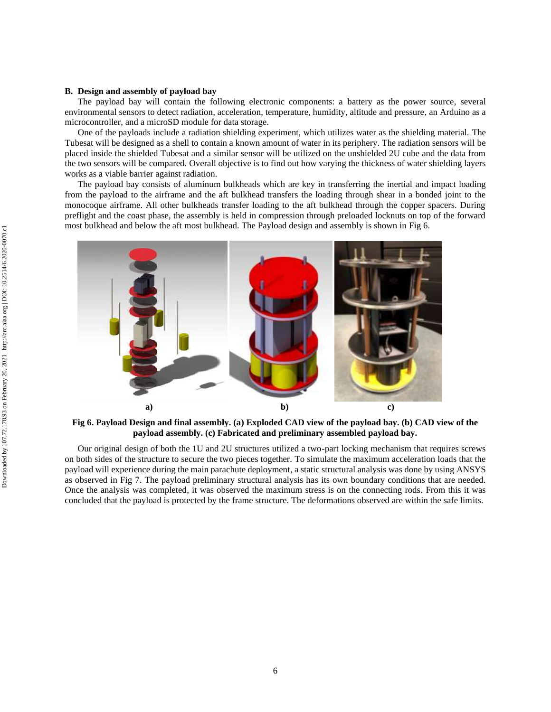#### **B. Design and assembly of payload bay**

The payload bay will contain the following electronic components: a battery as the power source, several environmental sensors to detect radiation, acceleration, temperature, humidity, altitude and pressure, an Arduino as a microcontroller, and a microSD module for data storage.

One of the payloads include a radiation shielding experiment, which utilizes water as the shielding material. The Tubesat will be designed as a shell to contain a known amount of water in its periphery. The radiation sensors will be placed inside the shielded Tubesat and a similar sensor will be utilized on the unshielded 2U cube and the data from the two sensors will be compared. Overall objective is to find out how varying the thickness of water shielding layers works as a viable barrier against radiation.

The payload bay consists of aluminum bulkheads which are key in transferring the inertial and impact loading from the payload to the airframe and the aft bulkhead transfers the loading through shear in a bonded joint to the monocoque airframe. All other bulkheads transfer loading to the aft bulkhead through the copper spacers. During preflight and the coast phase, the assembly is held in compression through preloaded locknuts on top of the forward most bulkhead and below the aft most bulkhead. The Payload design and assembly is shown in [Fig 6.](#page-6-0)



**Fig 6. Payload Design and final assembly. (a) Exploded CAD view of the payload bay. (b) CAD view of the payload assembly. (c) Fabricated and preliminary assembled payload bay.**

<span id="page-6-0"></span>Our original design of both the 1U and 2U structures utilized a two-part locking mechanism that requires screws on both sides of the structure to secure the two pieces together. To simulate the maximum acceleration loads that the payload will experience during the main parachute deployment, a static structural analysis was done by using ANSYS as observed in [Fig 7.](#page-7-0) The payload preliminary structural analysis has its own boundary conditions that are needed. Once the analysis was completed, it was observed the maximum stress is on the connecting rods. From this it was concluded that the payload is protected by the frame structure. The deformations observed are within the safe limits.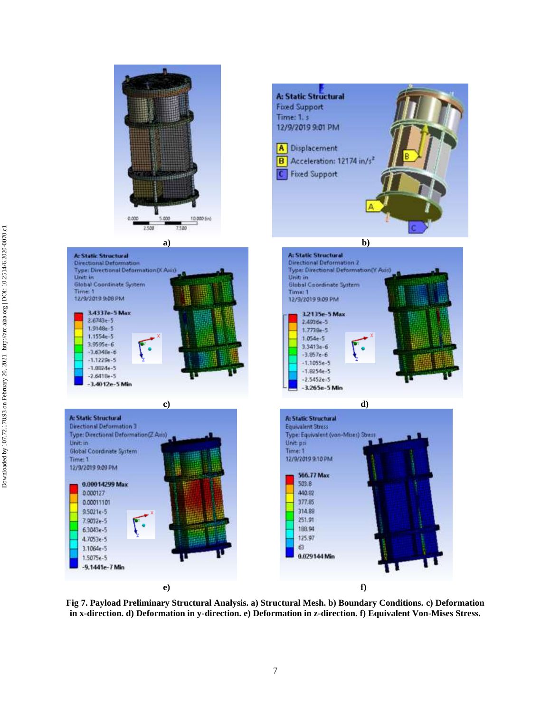

<span id="page-7-0"></span>**Fig 7. Payload Preliminary Structural Analysis. a) Structural Mesh. b) Boundary Conditions. c) Deformation in x-direction. d) Deformation in y-direction. e) Deformation in z-direction. f) Equivalent Von-Mises Stress.**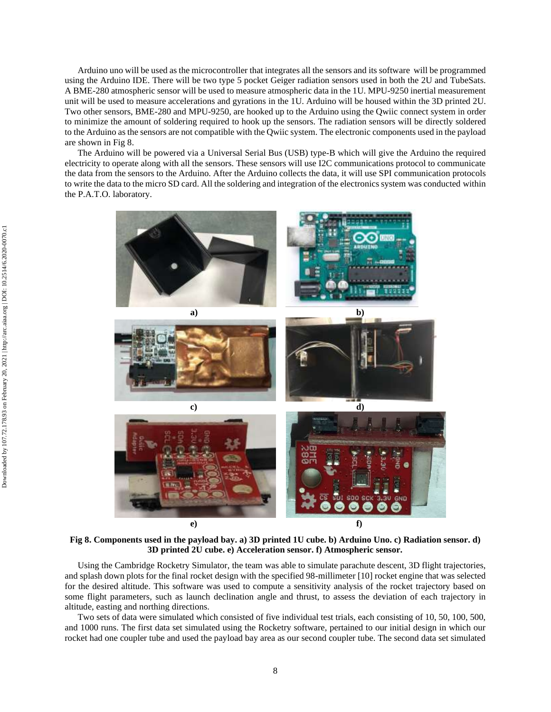Arduino uno will be used as the microcontroller that integrates all the sensors and its software will be programmed using the Arduino IDE. There will be two type 5 pocket Geiger radiation sensors used in both the 2U and TubeSats. A BME-280 atmospheric sensor will be used to measure atmospheric data in the 1U. MPU-9250 inertial measurement unit will be used to measure accelerations and gyrations in the 1U. Arduino will be housed within the 3D printed 2U. Two other sensors, BME-280 and MPU-9250, are hooked up to the Arduino using the Qwiic connect system in order to minimize the amount of soldering required to hook up the sensors. The radiation sensors will be directly soldered to the Arduino as the sensors are not compatible with the Qwiic system. The electronic components used in the payload are shown in [Fig 8.](#page-8-0)

The Arduino will be powered via a Universal Serial Bus (USB) type-B which will give the Arduino the required electricity to operate along with all the sensors. These sensors will use I2C communications protocol to communicate the data from the sensors to the Arduino. After the Arduino collects the data, it will use SPI communication protocols to write the data to the micro SD card. All the soldering and integration of the electronics system was conducted within the P.A.T.O. laboratory.



**Fig 8. Components used in the payload bay. a) 3D printed 1U cube. b) Arduino Uno. c) Radiation sensor. d) 3D printed 2U cube. e) Acceleration sensor. f) Atmospheric sensor.**

<span id="page-8-0"></span>Using the Cambridge Rocketry Simulator, the team was able to simulate parachute descent, 3D flight trajectories, and splash down plots for the final rocket design with the specified 98-millimete[r \[10\]](#page-18-9) rocket engine that was selected for the desired altitude. This software was used to compute a sensitivity analysis of the rocket trajectory based on some flight parameters, such as launch declination angle and thrust, to assess the deviation of each trajectory in altitude, easting and northing directions.

Two sets of data were simulated which consisted of five individual test trials, each consisting of 10, 50, 100, 500, and 1000 runs. The first data set simulated using the Rocketry software, pertained to our initial design in which our rocket had one coupler tube and used the payload bay area as our second coupler tube. The second data set simulated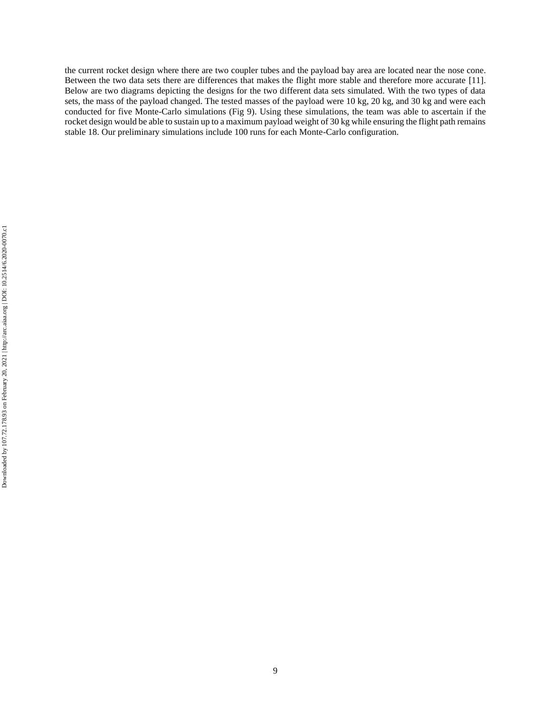the current rocket design where there are two coupler tubes and the payload bay area are located near the nose cone. Between the two data sets there are differences that makes the flight more stable and therefore more accurate [\[11\].](#page-18-10) Below are two diagrams depicting the designs for the two different data sets simulated. With the two types of data sets, the mass of the payload changed. The tested masses of the payload were 10 kg, 20 kg, and 30 kg and were each conducted for five Monte-Carlo simulations [\(Fig 9\)](#page-11-0). Using these simulations, the team was able to ascertain if the rocket design would be able to sustain up to a maximum payload weight of 30 kg while ensuring the flight path remains stable [18.](#page-18-11) Our preliminary simulations include 100 runs for each Monte-Carlo configuration.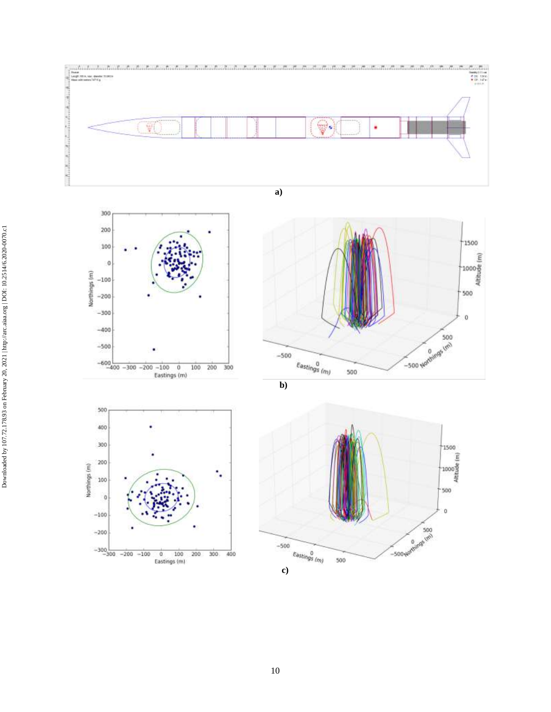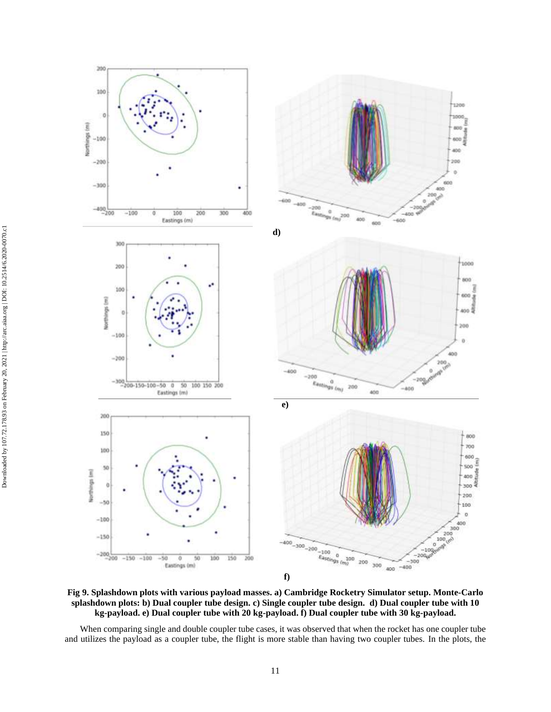

<span id="page-11-0"></span>**Fig 9. Splashdown plots with various payload masses. a) Cambridge Rocketry Simulator setup. Monte-Carlo splashdown plots: b) Dual coupler tube design. c) Single coupler tube design. d) Dual coupler tube with 10 kg-payload. e) Dual coupler tube with 20 kg-payload. f) Dual coupler tube with 30 kg-payload.**

When comparing single and double coupler tube cases, it was observed that when the rocket has one coupler tube and utilizes the payload as a coupler tube, the flight is more stable than having two coupler tubes. In the plots, the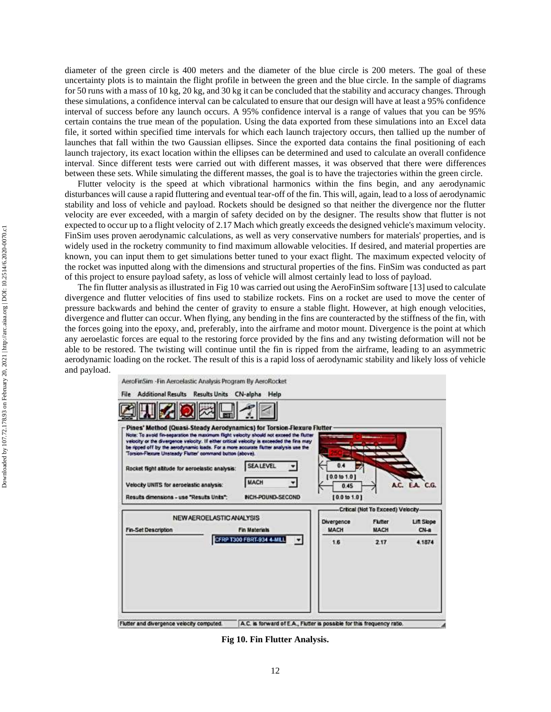diameter of the green circle is 400 meters and the diameter of the blue circle is 200 meters. The goal of these uncertainty plots is to maintain the flight profile in between the green and the blue circle. In the sample of diagrams for 50 runs with a mass of 10 kg, 20 kg, and 30 kg it can be concluded that the stability and accuracy changes. Through these simulations, a confidence interval can be calculated to ensure that our design will have at least a 95% confidence interval of success before any launch occurs. A 95% confidence interval is a range of values that you can be 95% certain contains the true mean of the population. Using the data exported from these simulations into an Excel data file, it sorted within specified time intervals for which each launch trajectory occurs, then tallied up the number of launches that fall within the two Gaussian ellipses. Since the exported data contains the final positioning of each launch trajectory, its exact location within the ellipses can be determined and used to calculate an overall confidence interval. Since different tests were carried out with different masses, it was observed that there were differences between these sets. While simulating the different masses, the goal is to have the trajectories within the green circle.

Flutter velocity is the speed at which vibrational harmonics within the fins begin, and any aerodynamic disturbances will cause a rapid fluttering and eventual tear-off of the fin. This will, again, lead to a loss of aerodynamic stability and loss of vehicle and payload. Rockets should be designed so that neither the divergence nor the flutter velocity are ever exceeded, with a margin of safety decided on by the designer. The results show that flutter is not expected to occur up to a flight velocity of 2.17 Mach which greatly exceeds the designed vehicle's maximum velocity. FinSim uses proven aerodynamic calculations, as well as very conservative numbers for materials' properties, and is widely used in the rocketry community to find maximum allowable velocities. If desired, and material properties are known, you can input them to get simulations better tuned to your exact flight. The maximum expected velocity of the rocket was inputted along with the dimensions and structural properties of the fins. FinSim was conducted as part of this project to ensure payload safety, as loss of vehicle will almost certainly lead to loss of payload.

The fin flutter analysis as illustrated in [Fig 10](#page-12-0) was carried out using the AeroFinSim softwar[e \[13\]](#page-18-12) used to calculate divergence and flutter velocities of fins used to stabilize rockets. Fins on a rocket are used to move the center of pressure backwards and behind the center of gravity to ensure a stable flight. However, at high enough velocities, divergence and flutter can occur. When flying, any bending in the fins are counteracted by the stiffness of the fin, with the forces going into the epoxy, and, preferably, into the airframe and motor mount. Divergence is the point at which any aeroelastic forces are equal to the restoring force provided by the fins and any twisting deformation will not be able to be restored. The twisting will continue until the fin is ripped from the airframe, leading to an asymmetric aerodynamic loading on the rocket. The result of this is a rapid loss of aerodynamic stability and likely loss of vehicle and payload.



<span id="page-12-0"></span>**Fig 10. Fin Flutter Analysis.**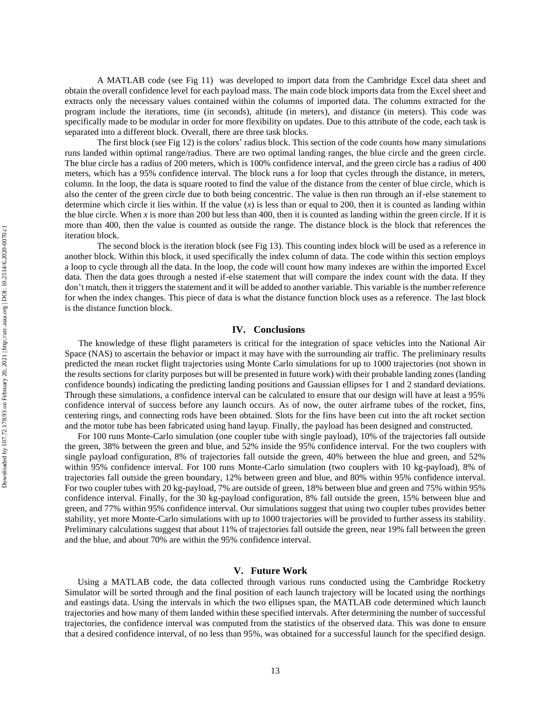A MATLAB code (see [Fig 11\)](#page-15-0) was developed to import data from the Cambridge Excel data sheet and obtain the overall confidence level for each payload mass. The main code block imports data from the Excel sheet and extracts only the necessary values contained within the columns of imported data. The columns extracted for the program include the iterations, time (in seconds), altitude (in meters), and distance (in meters). This code was specifically made to be modular in order for more flexibility on updates. Due to this attribute of the code, each task is separated into a different block. Overall, there are three task blocks.

The first block (see [Fig 12\)](#page-16-0) is the colors' radius block. This section of the code counts how many simulations runs landed within optimal range/radius. There are two optimal landing ranges, the blue circle and the green circle. The blue circle has a radius of 200 meters, which is 100% confidence interval, and the green circle has a radius of 400 meters, which has a 95% confidence interval. The block runs a for loop that cycles through the distance, in meters, column. In the loop, the data is square rooted to find the value of the distance from the center of blue circle, which is also the center of the green circle due to both being concentric. The value is then run through an if-else statement to determine which circle it lies within. If the value  $(x)$  is less than or equal to 200, then it is counted as landing within the blue circle. When *x* is more than 200 but less than 400, then it is counted as landing within the green circle. If it is more than 400, then the value is counted as outside the range. The distance block is the block that references the iteration block.

The second block is the iteration block (see [Fig 13\)](#page-17-0). This counting index block will be used as a reference in another block. Within this block, it used specifically the index column of data. The code within this section employs a loop to cycle through all the data. In the loop, the code will count how many indexes are within the imported Excel data. Then the data goes through a nested if-else statement that will compare the index count with the data. If they don't match, then it triggers the statement and it will be added to another variable. This variable is the number reference for when the index changes. This piece of data is what the distance function block uses as a reference. The last block is the distance function block.

#### **IV. Conclusions**

 The knowledge of these flight parameters is critical for the integration of space vehicles into the National Air Space (NAS) to ascertain the behavior or impact it may have with the surrounding air traffic. The preliminary results predicted the mean rocket flight trajectories using Monte Carlo simulations for up to 1000 trajectories (not shown in the results sections for clarity purposes but will be presented in future work) with their probable landing zones (landing confidence bounds) indicating the predicting landing positions and Gaussian ellipses for 1 and 2 standard deviations. Through these simulations, a confidence interval can be calculated to ensure that our design will have at least a 95% confidence interval of success before any launch occurs. As of now, the outer airframe tubes of the rocket, fins, centering rings, and connecting rods have been obtained. Slots for the fins have been cut into the aft rocket section and the motor tube has been fabricated using hand layup. Finally, the payload has been designed and constructed.

For 100 runs Monte-Carlo simulation (one coupler tube with single payload), 10% of the trajectories fall outside the green, 38% between the green and blue, and 52% inside the 95% confidence interval. For the two couplers with single payload configuration, 8% of trajectories fall outside the green, 40% between the blue and green, and 52% within 95% confidence interval. For 100 runs Monte-Carlo simulation (two couplers with 10 kg-payload), 8% of trajectories fall outside the green boundary, 12% between green and blue, and 80% within 95% confidence interval. For two coupler tubes with 20 kg-payload, 7% are outside of green, 18% between blue and green and 75% within 95% confidence interval. Finally, for the 30 kg-payload configuration, 8% fall outside the green, 15% between blue and green, and 77% within 95% confidence interval. Our simulations suggest that using two coupler tubes provides better stability, yet more Monte-Carlo simulations with up to 1000 trajectories will be provided to further assess its stability. Preliminary calculations suggest that about 11% of trajectories fall outside the green, near 19% fall between the green and the blue, and about 70% are within the 95% confidence interval.

#### **V. Future Work**

Using a MATLAB code, the data collected through various runs conducted using the Cambridge Rocketry Simulator will be sorted through and the final position of each launch trajectory will be located using the northings and eastings data. Using the intervals in which the two ellipses span, the MATLAB code determined which launch trajectories and how many of them landed within these specified intervals. After determining the number of successful trajectories, the confidence interval was computed from the statistics of the observed data. This was done to ensure that a desired confidence interval, of no less than 95%, was obtained for a successful launch for the specified design.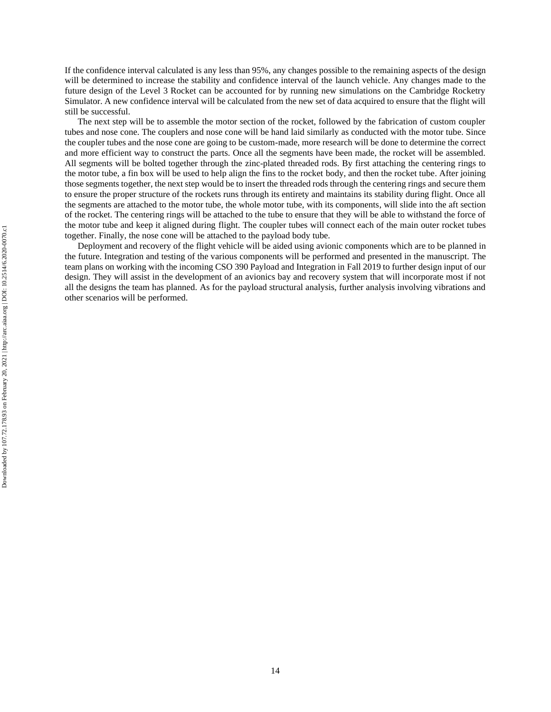If the confidence interval calculated is any less than 95%, any changes possible to the remaining aspects of the design will be determined to increase the stability and confidence interval of the launch vehicle. Any changes made to the future design of the Level 3 Rocket can be accounted for by running new simulations on the Cambridge Rocketry Simulator. A new confidence interval will be calculated from the new set of data acquired to ensure that the flight will still be successful.

The next step will be to assemble the motor section of the rocket, followed by the fabrication of custom coupler tubes and nose cone. The couplers and nose cone will be hand laid similarly as conducted with the motor tube. Since the coupler tubes and the nose cone are going to be custom-made, more research will be done to determine the correct and more efficient way to construct the parts. Once all the segments have been made, the rocket will be assembled. All segments will be bolted together through the zinc-plated threaded rods. By first attaching the centering rings to the motor tube, a fin box will be used to help align the fins to the rocket body, and then the rocket tube. After joining those segments together, the next step would be to insert the threaded rods through the centering rings and secure them to ensure the proper structure of the rockets runs through its entirety and maintains its stability during flight. Once all the segments are attached to the motor tube, the whole motor tube, with its components, will slide into the aft section of the rocket. The centering rings will be attached to the tube to ensure that they will be able to withstand the force of the motor tube and keep it aligned during flight. The coupler tubes will connect each of the main outer rocket tubes together. Finally, the nose cone will be attached to the payload body tube.

Deployment and recovery of the flight vehicle will be aided using avionic components which are to be planned in the future. Integration and testing of the various components will be performed and presented in the manuscript. The team plans on working with the incoming CSO 390 Payload and Integration in Fall 2019 to further design input of our design. They will assist in the development of an avionics bay and recovery system that will incorporate most if not all the designs the team has planned. As for the payload structural analysis, further analysis involving vibrations and other scenarios will be performed.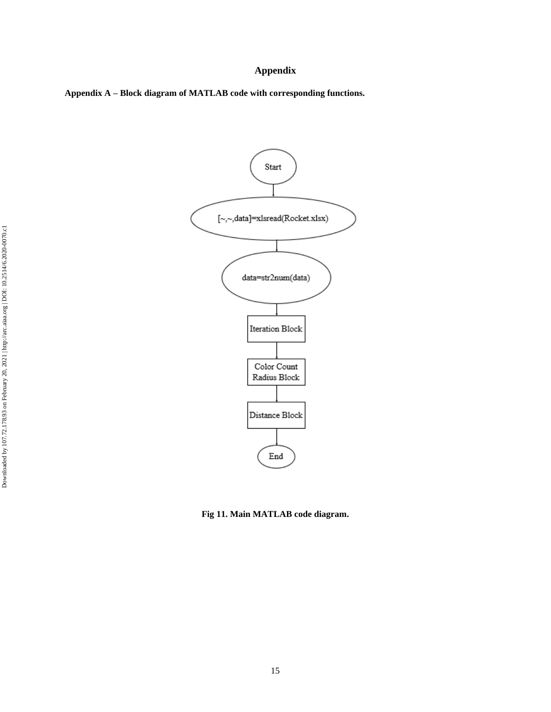# **Appendix**

**Appendix A – Block diagram of MATLAB code with corresponding functions.**



<span id="page-15-0"></span>**Fig 11. Main MATLAB code diagram.**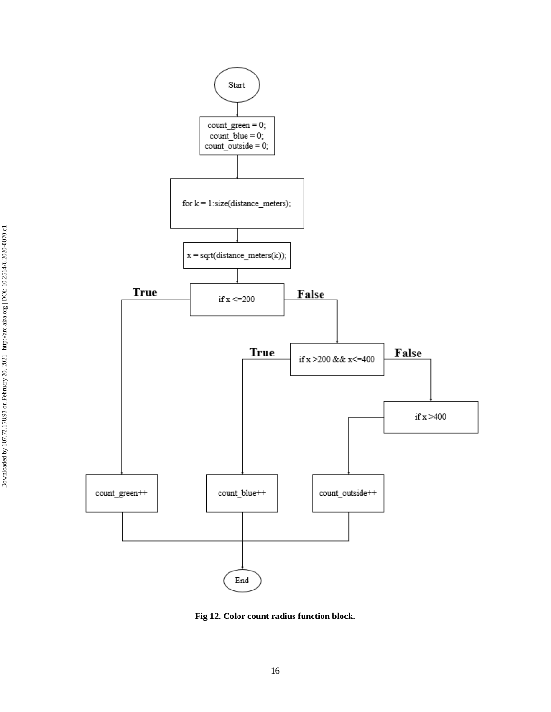



<span id="page-16-0"></span>**Fig 12. Color count radius function block.**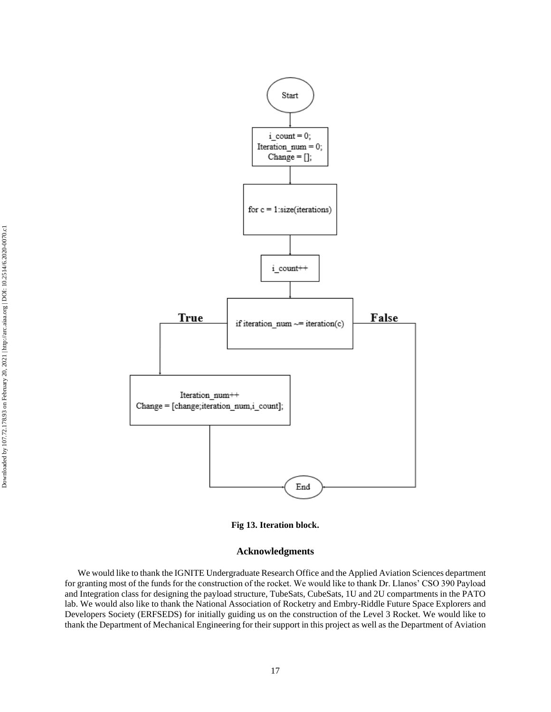

**Fig 13. Iteration block.**

#### **Acknowledgments**

<span id="page-17-0"></span>We would like to thank the IGNITE Undergraduate Research Office and the Applied Aviation Sciences department for granting most of the funds for the construction of the rocket. We would like to thank Dr. Llanos' CSO 390 Payload and Integration class for designing the payload structure, TubeSats, CubeSats, 1U and 2U compartments in the PATO lab. We would also like to thank the National Association of Rocketry and Embry-Riddle Future Space Explorers and Developers Society (ERFSEDS) for initially guiding us on the construction of the Level 3 Rocket. We would like to thank the Department of Mechanical Engineering for their support in this project as well as the Department of Aviation